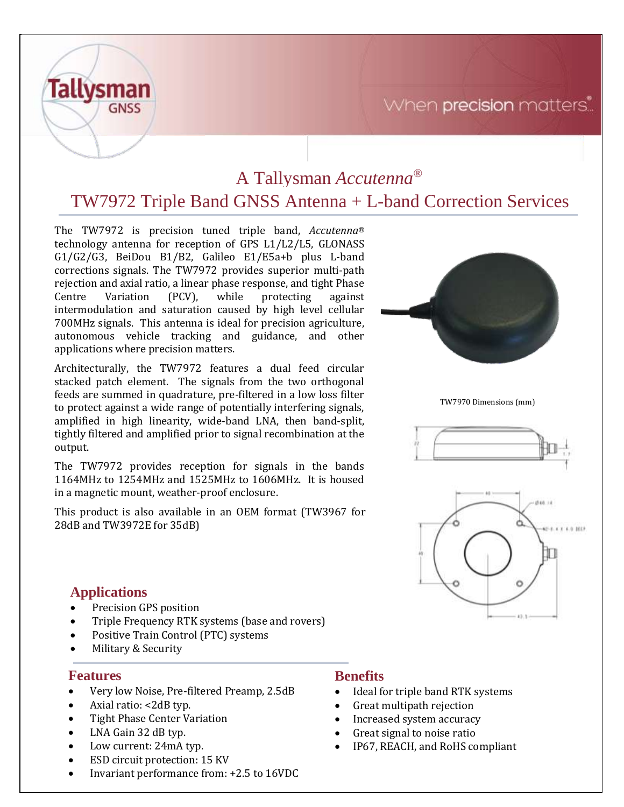# When precision matters.



# A Tallysman *Accutenna®* TW7972 Triple Band GNSS Antenna + L-band Correction Services

The TW7972 is precision tuned triple band, *Accutenna®* technology antenna for reception of GPS L1/L2/L5, GLONASS G1/G2/G3, BeiDou B1/B2, Galileo E1/E5a+b plus L-band corrections signals. The TW7972 provides superior multi-path rejection and axial ratio, a linear phase response, and tight Phase Centre Variation (PCV), while protecting against intermodulation and saturation caused by high level cellular 700MHz signals. This antenna is ideal for precision agriculture, autonomous vehicle tracking and guidance, and other applications where precision matters.

Architecturally, the TW7972 features a dual feed circular stacked patch element. The signals from the two orthogonal feeds are summed in quadrature, pre-filtered in a low loss filter to protect against a wide range of potentially interfering signals, amplified in high linearity, wide-band LNA, then band-split, tightly filtered and amplified prior to signal recombination at the output.

The TW7972 provides reception for signals in the bands 1164MHz to 1254MHz and 1525MHz to 1606MHz. It is housed in a magnetic mount, weather-proof enclosure.

This product is also available in an OEM format (TW3967 for 28dB and TW3972E for 35dB)



TW7970 Dimensions (mm)





### **Applications**

- Precision GPS position
- Triple Frequency RTK systems (base and rovers)
- Positive Train Control (PTC) systems
- Military & Security

### **Features**

- Very low Noise, Pre-filtered Preamp, 2.5dB
- Axial ratio: <2dB typ.
- Tight Phase Center Variation
- LNA Gain 32 dB typ.
- Low current: 24mA typ.
- ESD circuit protection: 15 KV
- Invariant performance from: +2.5 to 16VDC

### **Benefits**

- Ideal for triple band RTK systems
- Great multipath rejection
- Increased system accuracy
- Great signal to noise ratio
- IP67, REACH, and RoHS compliant